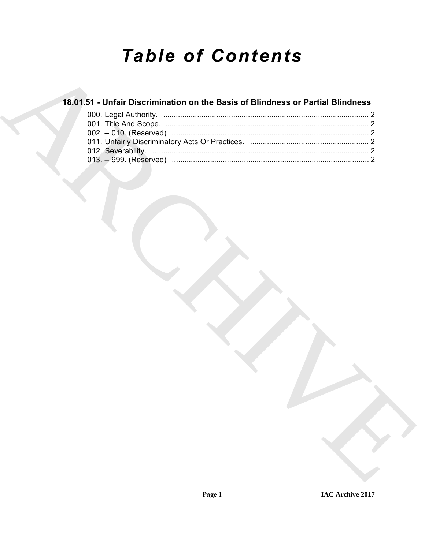# **Table of Contents**

### 18.01.51 - Unfair Discrimination on the Basis of Blindness or Partial Blindness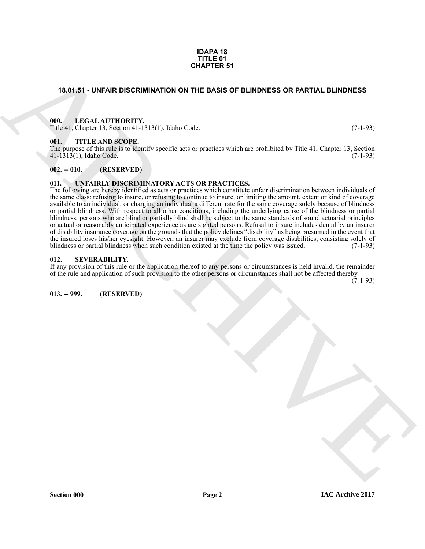#### **IDAPA 18 TITLE 01 CHAPTER 51**

#### <span id="page-1-0"></span>**18.01.51 - UNFAIR DISCRIMINATION ON THE BASIS OF BLINDNESS OR PARTIAL BLINDNESS**

#### <span id="page-1-1"></span>**000. LEGAL AUTHORITY.**

Title 41, Chapter 13, Section 41-1313(1), Idaho Code. (7-1-93)

#### <span id="page-1-2"></span>**001. TITLE AND SCOPE.**

The purpose of this rule is to identify specific acts or practices which are prohibited by Title 41, Chapter 13, Section 41-1313(1), Idaho Code. (7-1-93)  $41 - 1313(1)$ , Idaho Code.

#### <span id="page-1-3"></span>**002. -- 010. (RESERVED)**

#### <span id="page-1-7"></span><span id="page-1-4"></span>**011. UNFAIRLY DISCRIMINATORY ACTS OR PRACTICES.**

**CHAPTER 51**<br>
18.01.51 - UNFAIR DISCRIMINATION ON THE BASIS OF BLINDNESS OR PARTIAL BLINDNESS<br>
THE LATER CROSS CONTRACT (1973), 1976 Col. (7.1.92)<br>
THE LATER CROSS CONTRACT (1976) COLL (1976 Coll (1976 Coll 1976) COLL (19 The following are hereby identified as acts or practices which constitute unfair discrimination between individuals of the same class: refusing to insure, or refusing to continue to insure, or limiting the amount, extent or kind of coverage available to an individual, or charging an individual a different rate for the same coverage solely because of blindness or partial blindness. With respect to all other conditions, including the underlying cause of the blindness or partial blindness, persons who are blind or partially blind shall be subject to the same standards of sound actuarial principles or actual or reasonably anticipated experience as are sighted persons. Refusal to insure includes denial by an insurer of disability insurance coverage on the grounds that the policy defines "disability" as being presumed in the event that the insured loses his/her eyesight. However, an insurer may exclude from coverage disabilities, consisting solely of blindness or partial blindness when such condition existed at the time the policy was issued. (7-1-93) blindness or partial blindness when such condition existed at the time the policy was issued.

#### <span id="page-1-5"></span>**012. SEVERABILITY.**

If any provision of this rule or the application thereof to any persons or circumstances is held invalid, the remainder of the rule and application of such provision to the other persons or circumstances shall not be affected thereby.

 $(7-1-93)$ 

<span id="page-1-6"></span>**013. -- 999. (RESERVED)**